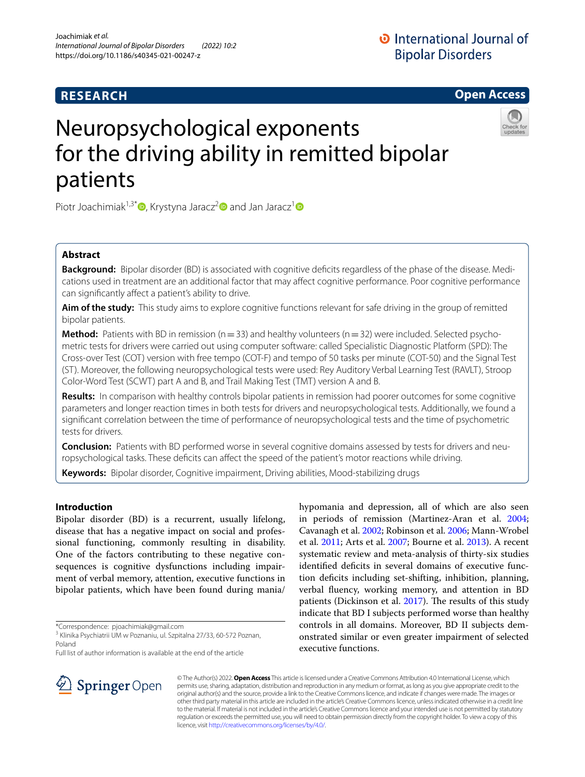## **RESEARCH**

## **Open Access**

# Neuropsychological exponents for the driving ability in remitted bipolar patients



Piotr Joachimiak<sup>[1](http://orcid.org/0000-0002-4642-658X),3\*</sup>  $\bullet$ [,](http://orcid.org/0000-0002-8974-1133) Krystyna Jaracz<sup>[2](http://orcid.org/0000-0002-0595-6891)</sup> and Jan Jaracz<sup>1</sup>  $\bullet$ 

## **Abstract**

**Background:** Bipolar disorder (BD) is associated with cognitive deficits regardless of the phase of the disease. Medications used in treatment are an additional factor that may afect cognitive performance. Poor cognitive performance can significantly affect a patient's ability to drive.

**Aim of the study:** This study aims to explore cognitive functions relevant for safe driving in the group of remitted bipolar patients.

**Method:** Patients with BD in remission ( $n=33$ ) and healthy volunteers ( $n=32$ ) were included. Selected psychometric tests for drivers were carried out using computer software: called Specialistic Diagnostic Platform (SPD): The Cross-over Test (COT) version with free tempo (COT-F) and tempo of 50 tasks per minute (COT-50) and the Signal Test (ST). Moreover, the following neuropsychological tests were used: Rey Auditory Verbal Learning Test (RAVLT), Stroop Color-Word Test (SCWT) part A and B, and Trail Making Test (TMT) version A and B.

**Results:** In comparison with healthy controls bipolar patients in remission had poorer outcomes for some cognitive parameters and longer reaction times in both tests for drivers and neuropsychological tests. Additionally, we found a signifcant correlation between the time of performance of neuropsychological tests and the time of psychometric tests for drivers.

**Conclusion:** Patients with BD performed worse in several cognitive domains assessed by tests for drivers and neuropsychological tasks. These deficits can affect the speed of the patient's motor reactions while driving.

**Keywords:** Bipolar disorder, Cognitive impairment, Driving abilities, Mood-stabilizing drugs

#### **Introduction**

Bipolar disorder (BD) is a recurrent, usually lifelong, disease that has a negative impact on social and professional functioning, commonly resulting in disability. One of the factors contributing to these negative consequences is cognitive dysfunctions including impairment of verbal memory, attention, executive functions in bipolar patients, which have been found during mania/

\*Correspondence: pjoachimiak@gmail.com

Full list of author information is available at the end of the article

hypomania and depression, all of which are also seen in periods of remission (Martinez-Aran et al. [2004](#page-8-0); Cavanagh et al. [2002;](#page-8-1) Robinson et al. [2006;](#page-8-2) Mann-Wrobel et al. [2011;](#page-8-3) Arts et al. [2007;](#page-7-0) Bourne et al. [2013](#page-7-1)). A recent systematic review and meta-analysis of thirty-six studies identified deficits in several domains of executive function defcits including set-shifting, inhibition, planning, verbal fuency, working memory, and attention in BD patients (Dickinson et al. [2017\)](#page-8-4). The results of this study indicate that BD I subjects performed worse than healthy controls in all domains. Moreover, BD II subjects demonstrated similar or even greater impairment of selected executive functions.



© The Author(s) 2022. **Open Access** This article is licensed under a Creative Commons Attribution 4.0 International License, which permits use, sharing, adaptation, distribution and reproduction in any medium or format, as long as you give appropriate credit to the original author(s) and the source, provide a link to the Creative Commons licence, and indicate if changes were made. The images or other third party material in this article are included in the article's Creative Commons licence, unless indicated otherwise in a credit line to the material. If material is not included in the article's Creative Commons licence and your intended use is not permitted by statutory regulation or exceeds the permitted use, you will need to obtain permission directly from the copyright holder. To view a copy of this licence, visit [http://creativecommons.org/licenses/by/4.0/.](http://creativecommons.org/licenses/by/4.0/)

<sup>&</sup>lt;sup>3</sup> Klinika Psychiatrii UM w Poznaniu, ul. Szpitalna 27/33, 60-572 Poznan, Poland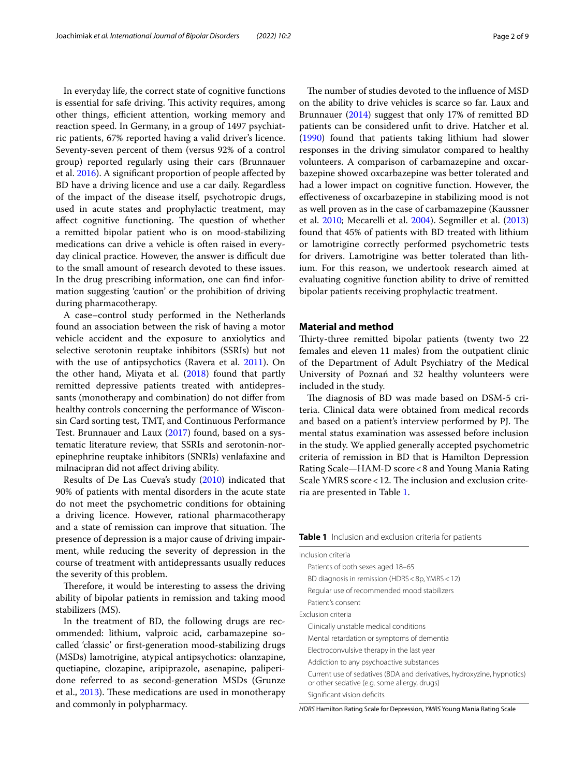In everyday life, the correct state of cognitive functions is essential for safe driving. This activity requires, among other things, efficient attention, working memory and reaction speed. In Germany, in a group of 1497 psychiatric patients, 67% reported having a valid driver's licence. Seventy-seven percent of them (versus 92% of a control group) reported regularly using their cars (Brunnauer et al. [2016\)](#page-7-2). A signifcant proportion of people afected by BD have a driving licence and use a car daily. Regardless of the impact of the disease itself, psychotropic drugs, used in acute states and prophylactic treatment, may affect cognitive functioning. The question of whether a remitted bipolar patient who is on mood-stabilizing medications can drive a vehicle is often raised in everyday clinical practice. However, the answer is difficult due to the small amount of research devoted to these issues. In the drug prescribing information, one can fnd information suggesting 'caution' or the prohibition of driving during pharmacotherapy.

A case–control study performed in the Netherlands found an association between the risk of having a motor vehicle accident and the exposure to anxiolytics and selective serotonin reuptake inhibitors (SSRIs) but not with the use of antipsychotics (Ravera et al. [2011\)](#page-8-5). On the other hand, Miyata et al. [\(2018\)](#page-8-6) found that partly remitted depressive patients treated with antidepressants (monotherapy and combination) do not difer from healthy controls concerning the performance of Wisconsin Card sorting test, TMT, and Continuous Performance Test. Brunnauer and Laux [\(2017](#page-7-3)) found, based on a systematic literature review, that SSRIs and serotonin-norepinephrine reuptake inhibitors (SNRIs) venlafaxine and milnacipran did not afect driving ability.

Results of De Las Cueva's study [\(2010\)](#page-8-7) indicated that 90% of patients with mental disorders in the acute state do not meet the psychometric conditions for obtaining a driving licence. However, rational pharmacotherapy and a state of remission can improve that situation. The presence of depression is a major cause of driving impairment, while reducing the severity of depression in the course of treatment with antidepressants usually reduces the severity of this problem.

Therefore, it would be interesting to assess the driving ability of bipolar patients in remission and taking mood stabilizers (MS).

In the treatment of BD, the following drugs are recommended: lithium, valproic acid, carbamazepine socalled 'classic' or frst-generation mood-stabilizing drugs (MSDs) lamotrigine, atypical antipsychotics: olanzapine, quetiapine, clozapine, aripiprazole, asenapine, paliperidone referred to as second-generation MSDs (Grunze et al., [2013\)](#page-8-8). These medications are used in monotherapy and commonly in polypharmacy.

The number of studies devoted to the influence of MSD on the ability to drive vehicles is scarce so far. Laux and Brunnauer [\(2014\)](#page-8-9) suggest that only 17% of remitted BD patients can be considered unft to drive. Hatcher et al. ([1990\)](#page-8-10) found that patients taking lithium had slower responses in the driving simulator compared to healthy volunteers. A comparison of carbamazepine and oxcarbazepine showed oxcarbazepine was better tolerated and had a lower impact on cognitive function. However, the efectiveness of oxcarbazepine in stabilizing mood is not as well proven as in the case of carbamazepine (Kaussner et al. [2010;](#page-8-11) Mecarelli et al. [2004](#page-8-12)). Segmiller et al. ([2013](#page-8-13)) found that 45% of patients with BD treated with lithium or lamotrigine correctly performed psychometric tests for drivers. Lamotrigine was better tolerated than lithium. For this reason, we undertook research aimed at evaluating cognitive function ability to drive of remitted bipolar patients receiving prophylactic treatment.

#### **Material and method**

Thirty-three remitted bipolar patients (twenty two 22 females and eleven 11 males) from the outpatient clinic of the Department of Adult Psychiatry of the Medical University of Poznań and 32 healthy volunteers were included in the study.

The diagnosis of BD was made based on DSM-5 criteria. Clinical data were obtained from medical records and based on a patient's interview performed by PJ. The mental status examination was assessed before inclusion in the study. We applied generally accepted psychometric criteria of remission in BD that is Hamilton Depression Rating Scale—HAM-D score<8 and Young Mania Rating Scale YMRS score < 12. The inclusion and exclusion criteria are presented in Table [1](#page-1-0).

<span id="page-1-0"></span>

| Table 1 Inclusion and exclusion criteria for patients |  |
|-------------------------------------------------------|--|
|-------------------------------------------------------|--|

| Inclusion criteria                                                                                                     |
|------------------------------------------------------------------------------------------------------------------------|
| Patients of both sexes aged 18-65                                                                                      |
| BD diagnosis in remission (HDRS < 8p, YMRS < 12)                                                                       |
| Regular use of recommended mood stabilizers                                                                            |
| Patient's consent                                                                                                      |
| Exclusion criteria                                                                                                     |
| Clinically unstable medical conditions                                                                                 |
| Mental retardation or symptoms of dementia                                                                             |
| Electroconvulsive therapy in the last year                                                                             |
| Addiction to any psychoactive substances                                                                               |
| Current use of sedatives (BDA and derivatives, hydroxyzine, hypnotics)<br>or other sedative (e.g. some allergy, drugs) |
| Significant vision deficits                                                                                            |

*HDRS* Hamilton Rating Scale for Depression, *YMRS* Young Mania Rating Scale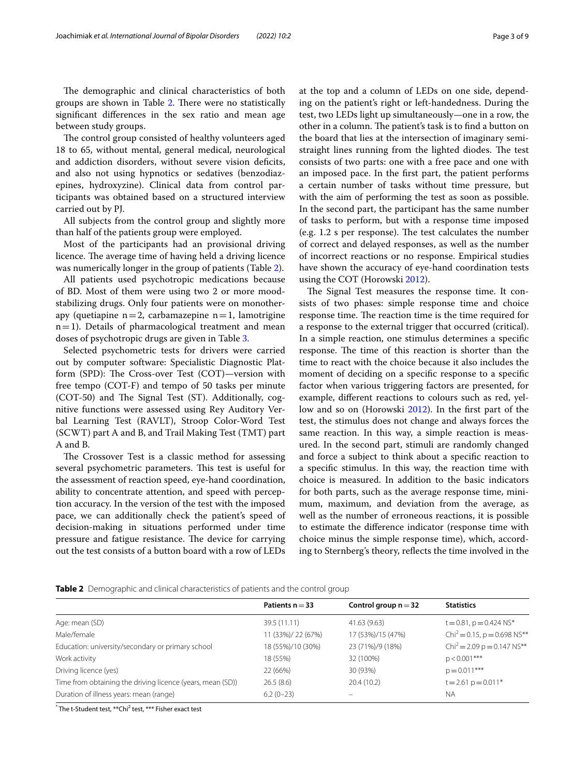The demographic and clinical characteristics of both groups are shown in Table [2.](#page-2-0) There were no statistically signifcant diferences in the sex ratio and mean age between study groups.

The control group consisted of healthy volunteers aged 18 to 65, without mental, general medical, neurological and addiction disorders, without severe vision deficits, and also not using hypnotics or sedatives (benzodiazepines, hydroxyzine). Clinical data from control participants was obtained based on a structured interview carried out by PJ.

All subjects from the control group and slightly more than half of the patients group were employed.

Most of the participants had an provisional driving licence. The average time of having held a driving licence was numerically longer in the group of patients (Table [2\)](#page-2-0).

All patients used psychotropic medications because of BD. Most of them were using two 2 or more moodstabilizing drugs. Only four patients were on monotherapy (quetiapine  $n=2$ , carbamazepine  $n=1$ , lamotrigine  $n=1$ ). Details of pharmacological treatment and mean doses of psychotropic drugs are given in Table [3.](#page-3-0)

Selected psychometric tests for drivers were carried out by computer software: Specialistic Diagnostic Platform (SPD): The Cross-over Test  $(COT)$ —version with free tempo (COT-F) and tempo of 50 tasks per minute  $(COT-50)$  and The Signal Test  $(ST)$ . Additionally, cognitive functions were assessed using Rey Auditory Verbal Learning Test (RAVLT), Stroop Color-Word Test (SCWT) part A and B, and Trail Making Test (TMT) part A and B.

The Crossover Test is a classic method for assessing several psychometric parameters. This test is useful for the assessment of reaction speed, eye-hand coordination, ability to concentrate attention, and speed with perception accuracy. In the version of the test with the imposed pace, we can additionally check the patient's speed of decision-making in situations performed under time pressure and fatigue resistance. The device for carrying out the test consists of a button board with a row of LEDs at the top and a column of LEDs on one side, depending on the patient's right or left-handedness. During the test, two LEDs light up simultaneously—one in a row, the other in a column. The patient's task is to find a button on the board that lies at the intersection of imaginary semistraight lines running from the lighted diodes. The test consists of two parts: one with a free pace and one with an imposed pace. In the frst part, the patient performs a certain number of tasks without time pressure, but with the aim of performing the test as soon as possible. In the second part, the participant has the same number of tasks to perform, but with a response time imposed  $(e.g. 1.2 s per response)$ . The test calculates the number of correct and delayed responses, as well as the number of incorrect reactions or no response. Empirical studies have shown the accuracy of eye-hand coordination tests using the COT (Horowski [2012\)](#page-8-14).

The Signal Test measures the response time. It consists of two phases: simple response time and choice response time. The reaction time is the time required for a response to the external trigger that occurred (critical). In a simple reaction, one stimulus determines a specifc response. The time of this reaction is shorter than the time to react with the choice because it also includes the moment of deciding on a specifc response to a specifc factor when various triggering factors are presented, for example, diferent reactions to colours such as red, yellow and so on (Horowski [2012](#page-8-14)). In the frst part of the test, the stimulus does not change and always forces the same reaction. In this way, a simple reaction is measured. In the second part, stimuli are randomly changed and force a subject to think about a specifc reaction to a specifc stimulus. In this way, the reaction time with choice is measured. In addition to the basic indicators for both parts, such as the average response time, minimum, maximum, and deviation from the average, as well as the number of erroneous reactions, it is possible to estimate the diference indicator (response time with choice minus the simple response time), which, according to Sternberg's theory, refects the time involved in the

<span id="page-2-0"></span>

|  | Table 2 Demographic and clinical characteristics of patients and the control group |  |
|--|------------------------------------------------------------------------------------|--|
|  |                                                                                    |  |

|                                                            | Patients $n = 33$  | Control group $n = 32$ | <b>Statistics</b>                       |
|------------------------------------------------------------|--------------------|------------------------|-----------------------------------------|
| Age: mean (SD)                                             | 39.5 (11.11)       | 41.63 (9.63)           | $t = 0.81$ , $p = 0.424$ NS*            |
| Male/female                                                | 11 (33%)/ 22 (67%) | 17 (53%)/15 (47%)      | Chi <sup>2</sup> = 0.15, p = 0.698 NS** |
| Education: university/secondary or primary school          | 18 (55%)/10 (30%)  | 23 (71%)/9 (18%)       | $Chi^2 = 2.09 p = 0.147 NS**$           |
| Work activity                                              | 18 (55%)           | 32 (100%)              | $p < 0.001$ ***                         |
| Driving licence (yes)                                      | 22 (66%)           | 30 (93%)               | $p = 0.011***$                          |
| Time from obtaining the driving licence (years, mean (SD)) | 26.5(8.6)          | 20.4(10.2)             | $t = 2.61 p = 0.011*$                   |
| Duration of illness years: mean (range)                    | $6.2(0-23)$        |                        | <b>NA</b>                               |

 $\check{}$  The t-Student test,  $\text{**}$ Chi $\text{^{2}}$  test,  $\text{***}$  Fisher exact test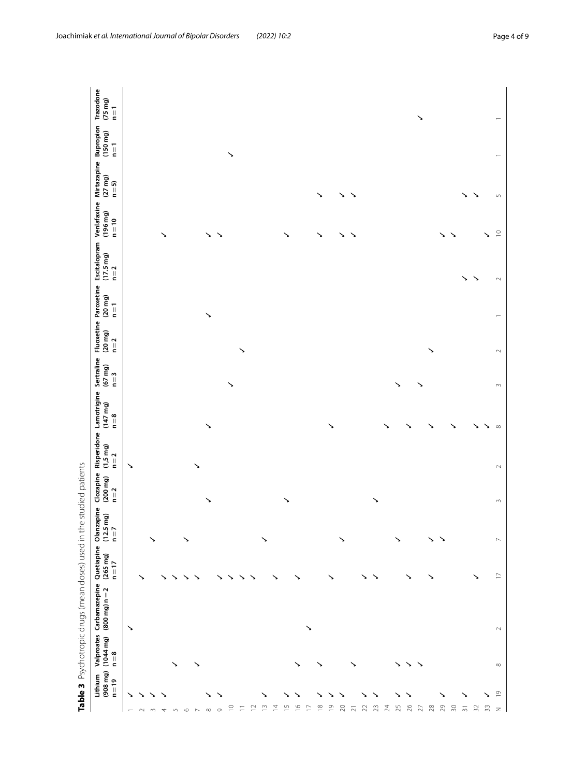|                                       |                                    |                                       | Table 3 Psychotropic drugs (mean doses) used in the studied patients |                                  |                                         |                                |                               |                                              |                                            |                            |                    |                                                                                                      |                         |                           |                     |                                    |
|---------------------------------------|------------------------------------|---------------------------------------|----------------------------------------------------------------------|----------------------------------|-----------------------------------------|--------------------------------|-------------------------------|----------------------------------------------|--------------------------------------------|----------------------------|--------------------|------------------------------------------------------------------------------------------------------|-------------------------|---------------------------|---------------------|------------------------------------|
|                                       | $(908 \, mg)$<br>Lithium<br>$n=19$ | Valproates<br>$(1044 \, mg)$<br>$n=8$ | Carbamazepine<br>$(800 mg) n = 2$                                    | Quetiapine<br>$(265 mg)$<br>n=17 | Olanzapine<br>$(12.5 \, mg)$<br>$n = 7$ | Clozapine<br>(200 mg)<br>$n=2$ | $(1,5 \text{ mg})$<br>$n = 2$ | Risperidone Lamotrigine<br>(147 mg)<br>$n=8$ | Sertraline<br>$(67 \text{ mg})$<br>$n = 3$ | $(20 \text{ mg})$<br>$n=2$ | (20 mg)<br>$n = 1$ | Fluoxetine Paroxetine Escitalopram Venlafaxine Mirtazapine Bupropion<br>$(17.5 \text{ mg})$<br>$n=2$ | $(196 \, mg)$<br>$n=10$ | $(27 \, mg)$<br>$n = 5$ ) | (150 mg)<br>$n = 1$ | Trazodone<br>$(75 \, mg)$<br>$n=1$ |
| ↘                                     |                                    |                                       | ↘                                                                    |                                  |                                         |                                | ↘                             |                                              |                                            |                            |                    |                                                                                                      |                         |                           |                     |                                    |
|                                       |                                    |                                       |                                                                      | ↘                                |                                         |                                |                               |                                              |                                            |                            |                    |                                                                                                      |                         |                           |                     |                                    |
| m                                     |                                    |                                       |                                                                      |                                  | ↘                                       |                                |                               |                                              |                                            |                            |                    |                                                                                                      |                         |                           |                     |                                    |
| 4                                     |                                    |                                       |                                                                      | ↘                                |                                         |                                |                               |                                              |                                            |                            |                    |                                                                                                      | ↘                       |                           |                     |                                    |
| 5                                     |                                    | ↘                                     |                                                                      | ↘                                |                                         |                                |                               |                                              |                                            |                            |                    |                                                                                                      |                         |                           |                     |                                    |
| $\circ$                               |                                    |                                       |                                                                      | ↘                                | ↘                                       |                                |                               |                                              |                                            |                            |                    |                                                                                                      |                         |                           |                     |                                    |
| $\sim$                                |                                    | ↘                                     |                                                                      | ↘                                |                                         |                                | ↘                             |                                              |                                            |                            |                    |                                                                                                      |                         |                           |                     |                                    |
| $\infty$                              |                                    |                                       |                                                                      |                                  |                                         | ↘                              |                               | ↘                                            |                                            |                            | ↘                  |                                                                                                      | ↘                       |                           |                     |                                    |
| ↘<br>$\circ$                          |                                    |                                       |                                                                      |                                  |                                         |                                |                               |                                              |                                            |                            |                    |                                                                                                      |                         |                           |                     |                                    |
| $\supseteq$                           |                                    |                                       |                                                                      |                                  |                                         |                                |                               |                                              |                                            |                            |                    |                                                                                                      |                         |                           | ↘                   |                                    |
| $\overline{-}$                        |                                    |                                       |                                                                      | ↘                                |                                         |                                |                               |                                              |                                            | ゝ                          |                    |                                                                                                      |                         |                           |                     |                                    |
| $\overline{12}$                       |                                    |                                       |                                                                      | ゝ                                |                                         |                                |                               |                                              |                                            |                            |                    |                                                                                                      |                         |                           |                     |                                    |
| ↘<br>$\bar{1}$                        |                                    |                                       |                                                                      |                                  | ↘                                       |                                |                               |                                              |                                            |                            |                    |                                                                                                      |                         |                           |                     |                                    |
| $\overline{4}$                        |                                    |                                       |                                                                      | ↘                                |                                         |                                |                               |                                              |                                            |                            |                    |                                                                                                      |                         |                           |                     |                                    |
| ↘<br>$\overline{1}$                   |                                    |                                       |                                                                      |                                  |                                         | ↘                              |                               |                                              |                                            |                            |                    |                                                                                                      | ↘                       |                           |                     |                                    |
| ↘<br>$\frac{\infty}{2}$               |                                    | ↘                                     |                                                                      | ↘                                |                                         |                                |                               |                                              |                                            |                            |                    |                                                                                                      |                         |                           |                     |                                    |
| $\overline{1}$                        |                                    |                                       | ↘                                                                    |                                  |                                         |                                |                               |                                              |                                            |                            |                    |                                                                                                      |                         |                           |                     |                                    |
| $\frac{8}{1}$                         |                                    | ↘                                     |                                                                      |                                  |                                         |                                |                               |                                              |                                            |                            |                    |                                                                                                      | ↘                       | ↘                         |                     |                                    |
| $\supseteq$                           |                                    |                                       |                                                                      | ↘                                |                                         |                                |                               | ↘                                            |                                            |                            |                    |                                                                                                      |                         |                           |                     |                                    |
| $\gtrsim$                             |                                    |                                       |                                                                      |                                  |                                         |                                |                               |                                              |                                            |                            |                    |                                                                                                      | ↘                       | ↘                         |                     |                                    |
| $\overline{\sim}$                     |                                    |                                       |                                                                      |                                  |                                         |                                |                               |                                              |                                            |                            |                    |                                                                                                      | ↘                       | $\rightarrow$             |                     |                                    |
| 22                                    |                                    |                                       |                                                                      | ↘                                |                                         |                                |                               |                                              |                                            |                            |                    |                                                                                                      |                         |                           |                     |                                    |
| 23                                    |                                    |                                       |                                                                      | ↘                                |                                         | ↘                              |                               |                                              |                                            |                            |                    |                                                                                                      |                         |                           |                     |                                    |
| 24                                    |                                    |                                       |                                                                      |                                  |                                         |                                |                               |                                              |                                            |                            |                    |                                                                                                      |                         |                           |                     |                                    |
| 25                                    |                                    | ↘                                     |                                                                      |                                  | ↘                                       |                                |                               |                                              | ↘                                          |                            |                    |                                                                                                      |                         |                           |                     |                                    |
| $\geqslant$                           |                                    | ↘                                     |                                                                      | ↘                                |                                         |                                |                               |                                              |                                            |                            |                    |                                                                                                      |                         |                           |                     |                                    |
| $\overline{27}$                       |                                    | $\mathcal{A}$                         |                                                                      |                                  |                                         |                                |                               |                                              | ゝ                                          |                            |                    |                                                                                                      |                         |                           |                     | ↘                                  |
| $28$                                  |                                    |                                       |                                                                      |                                  | ↘                                       |                                |                               |                                              |                                            | ↘                          |                    |                                                                                                      |                         |                           |                     |                                    |
| ↘<br>29                               |                                    |                                       |                                                                      |                                  |                                         |                                |                               |                                              |                                            |                            |                    |                                                                                                      | ↘                       |                           |                     |                                    |
| $\approx$                             |                                    |                                       |                                                                      |                                  |                                         |                                |                               |                                              |                                            |                            |                    |                                                                                                      | ↘                       |                           |                     |                                    |
| ↘<br>$\overline{\mathfrak{m}}$        |                                    |                                       |                                                                      |                                  |                                         |                                |                               |                                              |                                            |                            |                    | ↘                                                                                                    |                         | ↘                         |                     |                                    |
| $\overline{32}$                       |                                    |                                       |                                                                      |                                  |                                         |                                |                               |                                              |                                            |                            |                    | ↘                                                                                                    |                         | ↘                         |                     |                                    |
| 33                                    |                                    |                                       |                                                                      |                                  |                                         |                                |                               |                                              |                                            |                            |                    |                                                                                                      | ↘                       |                           |                     |                                    |
| $\overline{\phantom{a}}$<br>$\, \geq$ |                                    | $\infty$                              | $\sim$                                                               | $\Box$                           | $\mathord{\sim}$                        | $\sim$                         | $\sim$                        | $\infty$                                     | $\sim$                                     | $\sim$                     |                    | $\sim$                                                                                               | $\supseteq$             | $\mathsf{L}\cap$          |                     |                                    |

<span id="page-3-0"></span>diad pationts ł .<br>د J F.  $\tilde{\mathcal{L}}$ ्रं Table 2 Devich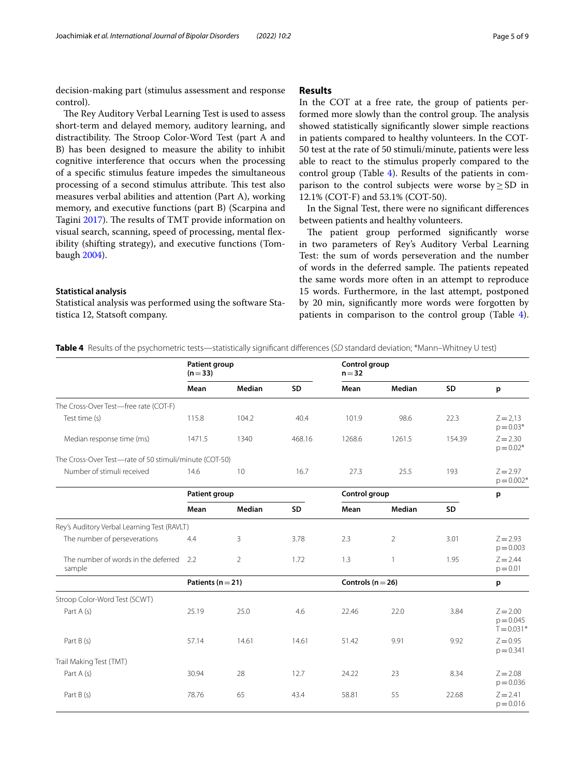decision-making part (stimulus assessment and response control).

The Rey Auditory Verbal Learning Test is used to assess short-term and delayed memory, auditory learning, and distractibility. The Stroop Color-Word Test (part A and B) has been designed to measure the ability to inhibit cognitive interference that occurs when the processing of a specifc stimulus feature impedes the simultaneous processing of a second stimulus attribute. This test also measures verbal abilities and attention (Part A), working memory, and executive functions (part B) (Scarpina and Tagini [2017](#page-8-15)). The results of TMT provide information on visual search, scanning, speed of processing, mental fexibility (shifting strategy), and executive functions (Tombaugh [2004\)](#page-8-16).

#### **Statistical analysis**

Statistical analysis was performed using the software Statistica 12, Statsoft company.

#### **Results**

In the COT at a free rate, the group of patients performed more slowly than the control group. The analysis showed statistically signifcantly slower simple reactions in patients compared to healthy volunteers. In the COT-50 test at the rate of 50 stimuli/minute, patients were less able to react to the stimulus properly compared to the control group (Table [4\)](#page-4-0). Results of the patients in comparison to the control subjects were worse by≥SD in 12.1% (COT-F) and 53.1% (COT-50).

In the Signal Test, there were no signifcant diferences between patients and healthy volunteers.

The patient group performed significantly worse in two parameters of Rey's Auditory Verbal Learning Test: the sum of words perseveration and the number of words in the deferred sample. The patients repeated the same words more often in an attempt to reproduce 15 words. Furthermore, in the last attempt, postponed by 20 min, signifcantly more words were forgotten by patients in comparison to the control group (Table [4](#page-4-0)).

<span id="page-4-0"></span>

| <b>Table 4</b> Results of the psychometric tests—statistically significant differences (SD standard deviation; *Mann–Whitney U test) |  |  |  |
|--------------------------------------------------------------------------------------------------------------------------------------|--|--|--|
|--------------------------------------------------------------------------------------------------------------------------------------|--|--|--|

|                                                        | <b>Patient group</b><br>$(n=33)$ |                |           | Control group<br>$n = 32$ |                |        |                                           |
|--------------------------------------------------------|----------------------------------|----------------|-----------|---------------------------|----------------|--------|-------------------------------------------|
|                                                        | Mean                             | Median         | <b>SD</b> | Mean                      | Median         | SD     | p                                         |
| The Cross-Over Test-free rate (COT-F)                  |                                  |                |           |                           |                |        |                                           |
| Test time (s)                                          | 115.8                            | 104.2          | 40.4      | 101.9                     | 98.6           | 22.3   | $Z = 2.13$<br>$p = 0.03*$                 |
| Median response time (ms)                              | 1471.5                           | 1340           | 468.16    | 1268.6                    | 1261.5         | 154.39 | $Z = 2.30$<br>$p = 0.02*$                 |
| The Cross-Over Test-rate of 50 stimuli/minute (COT-50) |                                  |                |           |                           |                |        |                                           |
| Number of stimuli received                             | 14.6                             | 10             | 16.7      | 27.3                      | 25.5           | 193    | $Z = 2.97$<br>$p = 0.002*$                |
|                                                        | Patient group                    |                |           | Control group             |                |        | p                                         |
|                                                        | Mean                             | <b>Median</b>  | <b>SD</b> | Mean                      | Median         | SD     |                                           |
| Rey's Auditory Verbal Learning Test (RAVLT)            |                                  |                |           |                           |                |        |                                           |
| The number of perseverations                           | 4.4                              | 3              | 3.78      | 2.3                       | $\overline{2}$ | 3.01   | $Z = 2.93$<br>$p = 0.003$                 |
| The number of words in the deferred<br>sample          | 2.2                              | $\overline{2}$ | 1.72      | 1.3                       | 1              | 1.95   | $Z = 2.44$<br>$p = 0.01$                  |
|                                                        | Patients ( $n = 21$ )            |                |           | Controls ( $n = 26$ )     |                |        | p                                         |
| Stroop Color-Word Test (SCWT)                          |                                  |                |           |                           |                |        |                                           |
| Part A (s)                                             | 25.19                            | 25.0           | 4.6       | 22.46                     | 22.0           | 3.84   | $Z = 2.00$<br>$p = 0.045$<br>$T = 0.031*$ |
| Part B (s)                                             | 57.14                            | 14.61          | 14.61     | 51.42                     | 9.91           | 9.92   | $Z = 0.95$<br>$p = 0.341$                 |
| Trail Making Test (TMT)                                |                                  |                |           |                           |                |        |                                           |
| Part A (s)                                             | 30.94                            | 28             | 12.7      | 24.22                     | 23             | 8.34   | $Z = 2.08$<br>$p = 0.036$                 |
| Part B (s)                                             | 78.76                            | 65             | 43.4      | 58.81                     | 55             | 22.68  | $7 = 2.41$<br>$p = 0.016$                 |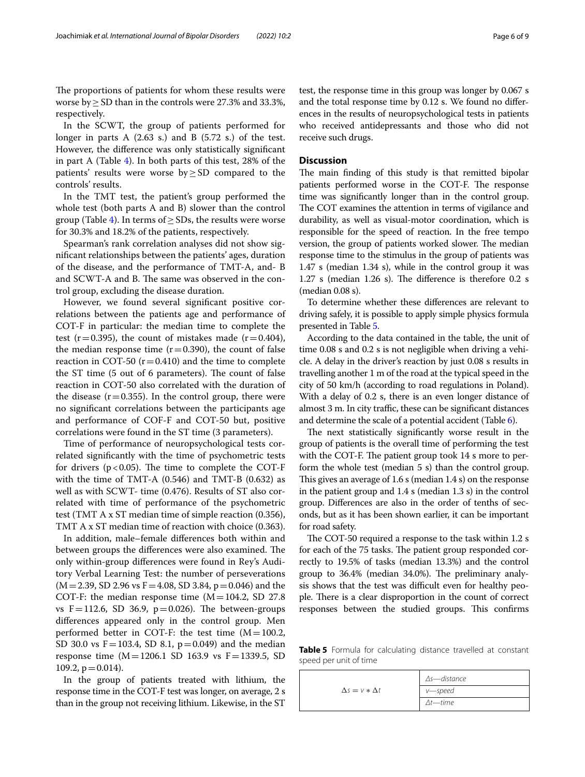The proportions of patients for whom these results were worse by≥SD than in the controls were 27.3% and 33.3%, respectively.

In the SCWT, the group of patients performed for longer in parts A (2.63 s.) and B (5.72 s.) of the test. However, the diference was only statistically signifcant in part A (Table [4](#page-4-0)). In both parts of this test, 28% of the patients' results were worse by≥SD compared to the controls' results.

In the TMT test, the patient's group performed the whole test (both parts A and B) slower than the control group (Table [4](#page-4-0)). In terms of  $\geq$  SDs, the results were worse for 30.3% and 18.2% of the patients, respectively.

Spearman's rank correlation analyses did not show signifcant relationships between the patients' ages, duration of the disease, and the performance of TMT-A, and- B and SCWT-A and B. The same was observed in the control group, excluding the disease duration.

However, we found several signifcant positive correlations between the patients age and performance of COT-F in particular: the median time to complete the test (r=0.395), the count of mistakes made (r=0.404), the median response time  $(r=0.390)$ , the count of false reaction in COT-50 ( $r = 0.410$ ) and the time to complete the ST time (5 out of 6 parameters). The count of false reaction in COT-50 also correlated with the duration of the disease  $(r=0.355)$ . In the control group, there were no signifcant correlations between the participants age and performance of COF-F and COT-50 but, positive correlations were found in the ST time (3 parameters).

Time of performance of neuropsychological tests correlated signifcantly with the time of psychometric tests for drivers ( $p < 0.05$ ). The time to complete the COT-F with the time of TMT-A (0.546) and TMT-B (0.632) as well as with SCWT- time (0.476). Results of ST also correlated with time of performance of the psychometric test (TMT A x ST median time of simple reaction (0.356), TMT A x ST median time of reaction with choice (0.363).

In addition, male–female diferences both within and between groups the differences were also examined. The only within-group diferences were found in Rey's Auditory Verbal Learning Test: the number of perseverations  $(M=2.39, SD 2.96 \text{ vs } F=4.08, SD 3.84, p=0.046)$  and the COT-F: the median response time  $(M=104.2, SD 27.8)$ vs  $F=112.6$ , SD 36.9,  $p=0.026$ ). The between-groups diferences appeared only in the control group. Men performed better in COT-F: the test time  $(M=100.2,$ SD 30.0 vs  $F = 103.4$ , SD 8.1,  $p = 0.049$  and the median response time  $(M=1206.1 \text{ SD } 163.9 \text{ vs } F=1339.5, SD$ 109.2,  $p = 0.014$ .

In the group of patients treated with lithium, the response time in the COT-F test was longer, on average, 2 s than in the group not receiving lithium. Likewise, in the ST

test, the response time in this group was longer by 0.067 s and the total response time by 0.12 s. We found no diferences in the results of neuropsychological tests in patients who received antidepressants and those who did not receive such drugs.

#### **Discussion**

The main finding of this study is that remitted bipolar patients performed worse in the COT-F. The response time was signifcantly longer than in the control group. The COT examines the attention in terms of vigilance and durability, as well as visual-motor coordination, which is responsible for the speed of reaction. In the free tempo version, the group of patients worked slower. The median response time to the stimulus in the group of patients was 1.47 s (median 1.34 s), while in the control group it was  $1.27$  s (median  $1.26$  s). The difference is therefore  $0.2$  s (median 0.08 s).

To determine whether these diferences are relevant to driving safely, it is possible to apply simple physics formula presented in Table [5](#page-5-0).

According to the data contained in the table, the unit of time 0.08 s and 0.2 s is not negligible when driving a vehicle. A delay in the driver's reaction by just 0.08 s results in travelling another 1 m of the road at the typical speed in the city of 50 km/h (according to road regulations in Poland). With a delay of 0.2 s, there is an even longer distance of almost 3 m. In city traffic, these can be significant distances and determine the scale of a potential accident (Table [6\)](#page-6-0).

The next statistically significantly worse result in the group of patients is the overall time of performing the test with the COT-F. The patient group took 14 s more to perform the whole test (median 5 s) than the control group. This gives an average of  $1.6$  s (median  $1.4$  s) on the response in the patient group and 1.4 s (median 1.3 s) in the control group. Diferences are also in the order of tenths of seconds, but as it has been shown earlier, it can be important for road safety.

The COT-50 required a response to the task within 1.2 s for each of the 75 tasks. The patient group responded correctly to 19.5% of tasks (median 13.3%) and the control group to 36.4% (median 34.0%). The preliminary analysis shows that the test was difficult even for healthy people. There is a clear disproportion in the count of correct responses between the studied groups. This confirms

<span id="page-5-0"></span>**Table 5** Formula for calculating distance travelled at constant speed per unit of time

|                           | $\Delta s$ - distance |
|---------------------------|-----------------------|
| $\Delta s = v * \Delta t$ | v—speed               |
|                           | $\Delta t$ —time      |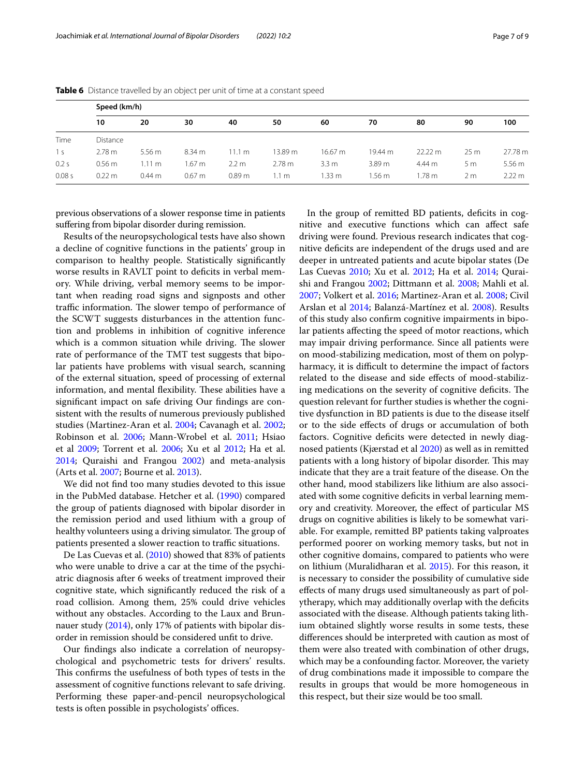|              | Speed (km/h)      |                   |        |                   |                 |                  |                   |                   |                 |                  |
|--------------|-------------------|-------------------|--------|-------------------|-----------------|------------------|-------------------|-------------------|-----------------|------------------|
|              | 10                | 20                | 30     | 40                | 50              | 60               | 70                | 80                | 90              | 100              |
| Time         | Distance          |                   |        |                   |                 |                  |                   |                   |                 |                  |
| <sub>S</sub> | 2.78 m            | 5.56 <sub>m</sub> | 8.34 m | $1.1 \text{ m}$   | 13.89 m         | 16.67 m          | 19.44 m           | $22.22 \text{ m}$ | 25 <sub>m</sub> | 27.78 m          |
| 0.2s         | 0.56 <sub>m</sub> | 1.11 m            | 1.67 m | 2.2 m             | 2.78 m          | 3.3 <sub>m</sub> | 3.89 <sub>m</sub> | 4.44 m            | 5m              | 5.56 m           |
| 0.08 s       | $0.22 \text{ m}$  | $0.44 \text{ m}$  | 0.67 m | 0.89 <sub>m</sub> | $1.1 \text{ m}$ | 1.33 m           | 1.56 m            | 1.78 m            | 2 <sub>m</sub>  | $2.22 \text{ m}$ |

<span id="page-6-0"></span>**Table 6** Distance travelled by an object per unit of time at a constant speed

previous observations of a slower response time in patients sufering from bipolar disorder during remission.

Results of the neuropsychological tests have also shown a decline of cognitive functions in the patients' group in comparison to healthy people. Statistically signifcantly worse results in RAVLT point to deficits in verbal memory. While driving, verbal memory seems to be important when reading road signs and signposts and other traffic information. The slower tempo of performance of the SCWT suggests disturbances in the attention function and problems in inhibition of cognitive inference which is a common situation while driving. The slower rate of performance of the TMT test suggests that bipolar patients have problems with visual search, scanning of the external situation, speed of processing of external information, and mental flexibility. These abilities have a signifcant impact on safe driving Our fndings are consistent with the results of numerous previously published studies (Martinez-Aran et al. [2004](#page-8-0); Cavanagh et al. [2002](#page-8-1); Robinson et al. [2006](#page-8-2); Mann-Wrobel et al. [2011](#page-8-3); Hsiao et al [2009;](#page-8-17) Torrent et al. [2006](#page-8-18); Xu et al [2012;](#page-8-19) Ha et al. [2014](#page-8-20); Quraishi and Frangou [2002](#page-8-21)) and meta-analysis (Arts et al. [2007](#page-7-0); Bourne et al. [2013\)](#page-7-1).

We did not fnd too many studies devoted to this issue in the PubMed database. Hetcher et al. ([1990\)](#page-8-10) compared the group of patients diagnosed with bipolar disorder in the remission period and used lithium with a group of healthy volunteers using a driving simulator. The group of patients presented a slower reaction to traffic situations.

De Las Cuevas et al. ([2010](#page-8-7)) showed that 83% of patients who were unable to drive a car at the time of the psychiatric diagnosis after 6 weeks of treatment improved their cognitive state, which signifcantly reduced the risk of a road collision. Among them, 25% could drive vehicles without any obstacles. According to the Laux and Brun-nauer study [\(2014\)](#page-8-9), only 17% of patients with bipolar disorder in remission should be considered unft to drive.

Our fndings also indicate a correlation of neuropsychological and psychometric tests for drivers' results. This confirms the usefulness of both types of tests in the assessment of cognitive functions relevant to safe driving. Performing these paper-and-pencil neuropsychological tests is often possible in psychologists' offices.

In the group of remitted BD patients, deficits in cognitive and executive functions which can afect safe driving were found. Previous research indicates that cognitive defcits are independent of the drugs used and are deeper in untreated patients and acute bipolar states (De Las Cuevas [2010](#page-8-7); Xu et al. [2012](#page-8-19); Ha et al. [2014](#page-8-20); Quraishi and Frangou [2002;](#page-8-21) Dittmann et al. [2008;](#page-8-22) Mahli et al. [2007](#page-8-23); Volkert et al. [2016;](#page-8-24) Martinez-Aran et al. [2008;](#page-8-25) Civil Arslan et al [2014;](#page-8-26) Balanzá-Martínez et al. [2008\)](#page-7-4). Results of this study also confrm cognitive impairments in bipolar patients afecting the speed of motor reactions, which may impair driving performance. Since all patients were on mood-stabilizing medication, most of them on polypharmacy, it is difficult to determine the impact of factors related to the disease and side efects of mood-stabilizing medications on the severity of cognitive deficits. The question relevant for further studies is whether the cognitive dysfunction in BD patients is due to the disease itself or to the side efects of drugs or accumulation of both factors. Cognitive deficits were detected in newly diagnosed patients (Kjærstad et al [2020](#page-8-27)) as well as in remitted patients with a long history of bipolar disorder. This may indicate that they are a trait feature of the disease. On the other hand, mood stabilizers like lithium are also associated with some cognitive defcits in verbal learning memory and creativity. Moreover, the efect of particular MS drugs on cognitive abilities is likely to be somewhat variable. For example, remitted BP patients taking valproates performed poorer on working memory tasks, but not in other cognitive domains, compared to patients who were on lithium (Muralidharan et al. [2015\)](#page-8-28). For this reason, it is necessary to consider the possibility of cumulative side efects of many drugs used simultaneously as part of polytherapy, which may additionally overlap with the defcits associated with the disease. Although patients taking lithium obtained slightly worse results in some tests, these diferences should be interpreted with caution as most of them were also treated with combination of other drugs, which may be a confounding factor. Moreover, the variety of drug combinations made it impossible to compare the results in groups that would be more homogeneous in this respect, but their size would be too small.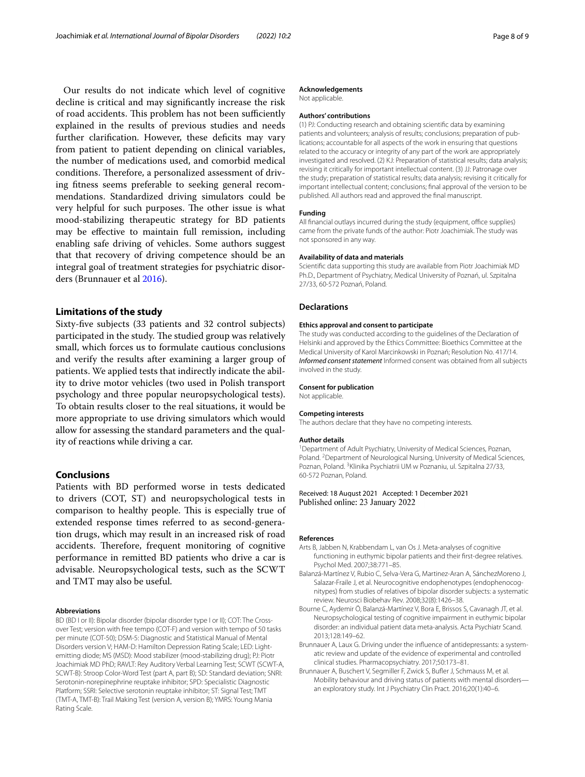Our results do not indicate which level of cognitive decline is critical and may signifcantly increase the risk of road accidents. This problem has not been sufficiently explained in the results of previous studies and needs further clarification. However, these deficits may vary from patient to patient depending on clinical variables, the number of medications used, and comorbid medical conditions. Therefore, a personalized assessment of driving ftness seems preferable to seeking general recommendations. Standardized driving simulators could be very helpful for such purposes. The other issue is what mood-stabilizing therapeutic strategy for BD patients may be efective to maintain full remission, including enabling safe driving of vehicles. Some authors suggest that that recovery of driving competence should be an integral goal of treatment strategies for psychiatric disorders (Brunnauer et al [2016\)](#page-7-2).

#### **Limitations of the study**

Sixty-fve subjects (33 patients and 32 control subjects) participated in the study. The studied group was relatively small, which forces us to formulate cautious conclusions and verify the results after examining a larger group of patients. We applied tests that indirectly indicate the ability to drive motor vehicles (two used in Polish transport psychology and three popular neuropsychological tests). To obtain results closer to the real situations, it would be more appropriate to use driving simulators which would allow for assessing the standard parameters and the quality of reactions while driving a car.

#### **Conclusions**

Patients with BD performed worse in tests dedicated to drivers (COT, ST) and neuropsychological tests in comparison to healthy people. This is especially true of extended response times referred to as second-generation drugs, which may result in an increased risk of road accidents. Therefore, frequent monitoring of cognitive performance in remitted BD patients who drive a car is advisable. Neuropsychological tests, such as the SCWT and TMT may also be useful.

#### **Abbreviations**

BD (BD I or II): Bipolar disorder (bipolar disorder type I or II); COT: The Crossover Test; version with free tempo (COT-F) and version with tempo of 50 tasks per minute (COT-50); DSM-5: Diagnostic and Statistical Manual of Mental Disorders version V; HAM-D: Hamilton Depression Rating Scale; LED: Lightemitting diode; MS (MSD): Mood stabilizer (mood-stabilizing drug); PJ: Piotr Joachimiak MD PhD; RAVLT: Rey Auditory Verbal Learning Test; SCWT (SCWT-A, SCWT-B): Stroop Color-Word Test (part A, part B); SD: Standard deviation; SNRI: Serotonin-norepinephrine reuptake inhibitor; SPD: Specialistic Diagnostic Platform; SSRI: Selective serotonin reuptake inhibitor; ST: Signal Test; TMT (TMT-A, TMT-B): Trail Making Test (version A, version B); YMRS: Young Mania Rating Scale.

#### **Acknowledgements**

Not applicable.

#### **Authors' contributions**

(1) PJ: Conducting research and obtaining scientifc data by examining patients and volunteers; analysis of results; conclusions; preparation of publications; accountable for all aspects of the work in ensuring that questions related to the accuracy or integrity of any part of the work are appropriately investigated and resolved. (2) KJ: Preparation of statistical results; data analysis; revising it critically for important intellectual content. (3) JJ: Patronage over the study; preparation of statistical results; data analysis; revising it critically for important intellectual content; conclusions; fnal approval of the version to be published. All authors read and approved the fnal manuscript.

#### **Funding**

All financial outlays incurred during the study (equipment, office supplies) came from the private funds of the author: Piotr Joachimiak. The study was not sponsored in any way.

#### **Availability of data and materials**

Scientifc data supporting this study are available from Piotr Joachimiak MD Ph.D., Department of Psychiatry, Medical University of Poznań, ul. Szpitalna 27/33, 60-572 Poznań, Poland.

#### **Declarations**

#### **Ethics approval and consent to participate**

The study was conducted according to the guidelines of the Declaration of Helsinki and approved by the Ethics Committee: Bioethics Committee at the Medical University of Karol Marcinkowski in Poznań; Resolution No. 417/14. *Informed consent statement* Informed consent was obtained from all subjects involved in the study.

#### **Consent for publication**

Not applicable.

#### **Competing interests**

The authors declare that they have no competing interests.

#### **Author details**

<sup>1</sup> Department of Adult Psychiatry, University of Medical Sciences, Poznan, Poland. <sup>2</sup> Department of Neurological Nursing, University of Medical Sciences, Poznan, Poland. <sup>3</sup> Klinika Psychiatrii UM w Poznaniu, ul. Szpitalna 27/33, 60-572 Poznan, Poland.

Received: 18 August 2021 Accepted: 1 December 2021 Published online: 23 January 2022

#### **References**

- <span id="page-7-0"></span>Arts B, Jabben N, Krabbendam L, van Os J. Meta-analyses of cognitive functioning in euthymic bipolar patients and their frst-degree relatives. Psychol Med. 2007;38:771–85.
- <span id="page-7-4"></span>Balanzá-Martínez V, Rubio C, Selva-Vera G, Martinez-Aran A, SánchezMoreno J, Salazar-Fraile J, et al. Neurocognitive endophenotypes (endophenocognitypes) from studies of relatives of bipolar disorder subjects: a systematic review. Neurosci Biobehav Rev. 2008;32(8):1426–38.
- <span id="page-7-1"></span>Bourne C, Aydemir Ö, Balanzá-Martínez V, Bora E, Brissos S, Cavanagh JT, et al. Neuropsychological testing of cognitive impairment in euthymic bipolar disorder: an individual patient data meta-analysis. Acta Psychiatr Scand. 2013;128:149–62.
- <span id="page-7-3"></span>Brunnauer A, Laux G. Driving under the infuence of antidepressants: a systematic review and update of the evidence of experimental and controlled clinical studies. Pharmacopsychiatry. 2017;50:173–81.
- <span id="page-7-2"></span>Brunnauer A, Buschert V, Segmiller F, Zwick S, Bufer J, Schmauss M, et al. Mobility behaviour and driving status of patients with mental disorders an exploratory study. Int J Psychiatry Clin Pract. 2016;20(1):40–6.